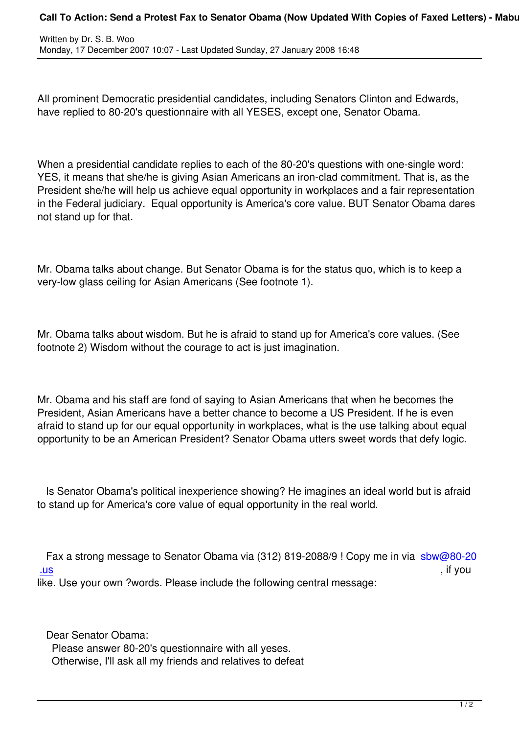Written by Dr. S. B. Wood, and the Dr. S. Wood, and the Dr. S. Wood, and the Dr. S. S. Wood, and the Dr. S. Wood, and

All prominent Democratic presidential candidates, including Senators Clinton and Edwards, have replied to 80-20's questionnaire with all YESES, except one, Senator Obama.

When a presidential candidate replies to each of the 80-20's questions with one-single word: YES, it means that she/he is giving Asian Americans an iron-clad commitment. That is, as the President she/he will help us achieve equal opportunity in workplaces and a fair representation in the Federal judiciary. Equal opportunity is America's core value. BUT Senator Obama dares not stand up for that.

Mr. Obama talks about change. But Senator Obama is for the status quo, which is to keep a very-low glass ceiling for Asian Americans (See footnote 1).

Mr. Obama talks about wisdom. But he is afraid to stand up for America's core values. (See footnote 2) Wisdom without the courage to act is just imagination.

Mr. Obama and his staff are fond of saying to Asian Americans that when he becomes the President, Asian Americans have a better chance to become a US President. If he is even afraid to stand up for our equal opportunity in workplaces, what is the use talking about equal opportunity to be an American President? Senator Obama utters sweet words that defy logic.

 Is Senator Obama's political inexperience showing? He imagines an ideal world but is afraid to stand up for America's core value of equal opportunity in the real world.

Fax a strong message to Senator Obama via (312) 819-2088/9 ! Copy me in via sbw@80-20 .us , if you like. Use your own ?words. Please include the following central message:

Dear Senator Obama:

 Please answer 80-20's questionnaire with all yeses. Otherwise, I'll ask all my friends and relatives to defeat